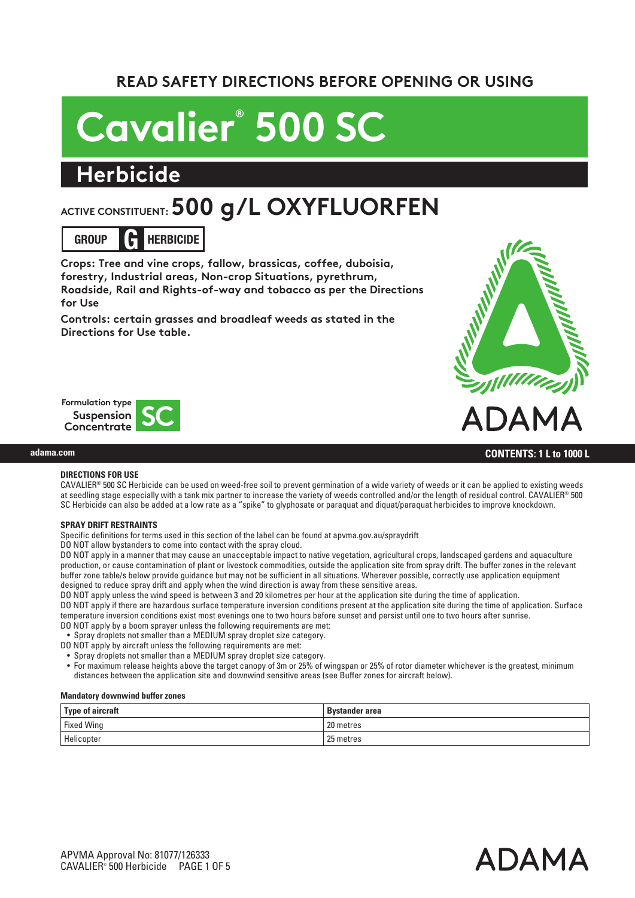## **READ SAFETY DIRECTIONS BEFORE OPENING OR USING**

# **Cavalier® 500 SC**

# **Herbicide**

# **ACTIVE CONSTITUENT: 500 g/L OXYFLUORFEN**



**Crops: Tree and vine crops, fallow, brassicas, coffee, duboisia, forestry, Industrial areas, Non-crop Situations, pyrethrum, Roadside, Rail and Rights-of-way and tobacco as per the Directions for Use**

**Controls: certain grasses and broadleaf weeds as stated in the Directions for Use table.**





#### **CONTENTS: 1 L to 1000 L**

## **DIRECTIONS FOR USE**

**adama.com**

CAVALIER® 500 SC Herbicide can be used on weed-free soil to prevent germination of a wide variety of weeds or it can be applied to existing weeds at seedling stage especially with a tank mix partner to increase the variety of weeds controlled and/or the length of residual control. CAVALIER® 500 SC Herbicide can also be added at a low rate as a "spike" to glyphosate or paraquat and diquat/paraquat herbicides to improve knockdown.

#### **SPRAY DRIFT RESTRAINTS**

Specific definitions for terms used in this section of the label can be found at apvma.gov.au/spraydrift

DO NOT allow bystanders to come into contact with the spray cloud.

DO NOT apply in a manner that may cause an unacceptable impact to native vegetation, agricultural crops, landscaped gardens and aquaculture production, or cause contamination of plant or livestock commodities, outside the application site from spray drift. The buffer zones in the relevant buffer zone table/s below provide guidance but may not be sufficient in all situations. Wherever possible, correctly use application equipment designed to reduce spray drift and apply when the wind direction is away from these sensitive areas.

DO NOT apply unless the wind speed is between 3 and 20 kilometres per hour at the application site during the time of application.

DO NOT apply if there are hazardous surface temperature inversion conditions present at the application site during the time of application. Surface temperature inversion conditions exist most evenings one to two hours before sunset and persist until one to two hours after sunrise.

DO NOT apply by a boom sprayer unless the following requirements are met:

• Spray droplets not smaller than a MEDIUM spray droplet size category.

DO NOT apply by aircraft unless the following requirements are met:

• Spray droplets not smaller than a MEDIUM spray droplet size category.

• For maximum release heights above the target canopy of 3m or 25% of wingspan or 25% of rotor diameter whichever is the greatest, minimum distances between the application site and downwind sensitive areas (see Buffer zones for aircraft below).

#### **Mandatory downwind buffer zones**

| Type of aircraft  | <b>Bystander area</b> |
|-------------------|-----------------------|
| <b>Fixed Wing</b> | 20 metres             |
| Helicopter        | 25 metres             |

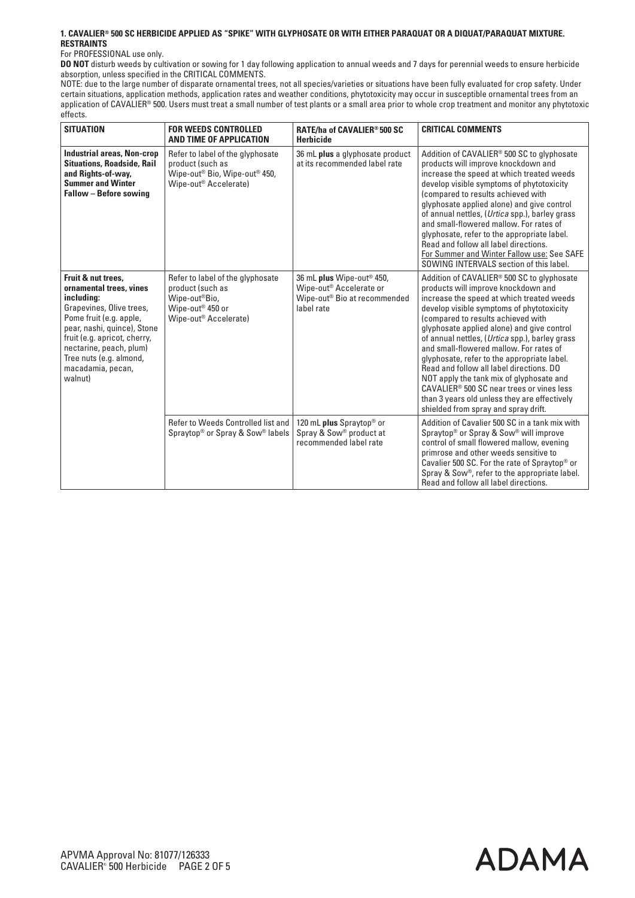#### **1. CAVALIER® 500 SC HERBICIDE APPLIED AS "SPIKE" WITH GLYPHOSATE OR WITH EITHER PARAQUAT OR A DIQUAT/PARAQUAT MIXTURE. RESTRAINTS**

#### For PROFESSIONAL use only.

**DO NOT** disturb weeds by cultivation or sowing for 1 day following application to annual weeds and 7 days for perennial weeds to ensure herbicide absorption, unless specified in the CRITICAL COMMENTS.

NOTE: due to the large number of disparate ornamental trees, not all species/varieties or situations have been fully evaluated for crop safety. Under certain situations, application methods, application rates and weather conditions, phytotoxicity may occur in susceptible ornamental trees from an application of CAVALIER® 500. Users must treat a small number of test plants or a small area prior to whole crop treatment and monitor any phytotoxic effects.

| <b>SITUATION</b>                                                                                                                                                                                                                                                        | <b>FOR WEEDS CONTROLLED</b><br>AND TIME OF APPLICATION                                                                                             | RATE/ha of CAVALIER® 500 SC<br><b>Herbicide</b>                                                                                        | <b>CRITICAL COMMENTS</b>                                                                                                                                                                                                                                                                                                                                                                                                                                                                                                                                                                                                                 |
|-------------------------------------------------------------------------------------------------------------------------------------------------------------------------------------------------------------------------------------------------------------------------|----------------------------------------------------------------------------------------------------------------------------------------------------|----------------------------------------------------------------------------------------------------------------------------------------|------------------------------------------------------------------------------------------------------------------------------------------------------------------------------------------------------------------------------------------------------------------------------------------------------------------------------------------------------------------------------------------------------------------------------------------------------------------------------------------------------------------------------------------------------------------------------------------------------------------------------------------|
| <b>Industrial areas, Non-crop</b><br><b>Situations, Roadside, Rail</b><br>and Rights-of-way,<br><b>Summer and Winter</b><br>Fallow - Before sowing                                                                                                                      | Refer to label of the glyphosate<br>product (such as<br>Wipe-out <sup>®</sup> Bio, Wipe-out <sup>®</sup> 450,<br>Wipe-out <sup>®</sup> Accelerate) | 36 mL plus a glyphosate product<br>at its recommended label rate                                                                       | Addition of CAVALIER <sup>®</sup> 500 SC to glyphosate<br>products will improve knockdown and<br>increase the speed at which treated weeds<br>develop visible symptoms of phytotoxicity<br>(compared to results achieved with<br>glyphosate applied alone) and give control<br>of annual nettles, (Urtica spp.), barley grass<br>and small-flowered mallow. For rates of<br>glyphosate, refer to the appropriate label.<br>Read and follow all label directions.<br>For Summer and Winter Fallow use: See SAFE<br>SOWING INTERVALS section of this label.                                                                                |
| Fruit & nut trees.<br>ornamental trees, vines<br>including:<br>Grapevines, Olive trees,<br>Pome fruit (e.g. apple,<br>pear, nashi, quince), Stone<br>fruit (e.g. apricot, cherry,<br>nectarine, peach, plum)<br>Tree nuts (e.g. almond,<br>macadamia, pecan,<br>walnut) | Refer to label of the glyphosate<br>product (such as<br>Wipe-out®Bio,<br>Wipe-out <sup>®</sup> 450 or<br>Wipe-out <sup>®</sup> Accelerate)         | 36 mL plus Wipe-out <sup>®</sup> 450,<br>Wipe-out <sup>®</sup> Accelerate or<br>Wipe-out <sup>®</sup> Bio at recommended<br>label rate | Addition of CAVALIER® 500 SC to glyphosate<br>products will improve knockdown and<br>increase the speed at which treated weeds<br>develop visible symptoms of phytotoxicity<br>(compared to results achieved with<br>glyphosate applied alone) and give control<br>of annual nettles, (Urtica spp.), barley grass<br>and small-flowered mallow. For rates of<br>glyphosate, refer to the appropriate label.<br>Read and follow all label directions, DO<br>NOT apply the tank mix of glyphosate and<br>CAVALIER® 500 SC near trees or vines less<br>than 3 years old unless they are effectively<br>shielded from spray and spray drift. |
|                                                                                                                                                                                                                                                                         | Refer to Weeds Controlled list and<br>Spraytop <sup>®</sup> or Spray & Sow <sup>®</sup> labels                                                     | 120 mL plus Spraytop <sup>®</sup> or<br>Spray & Sow® product at<br>recommended label rate                                              | Addition of Cavalier 500 SC in a tank mix with<br>Spraytop <sup>®</sup> or Spray & Sow <sup>®</sup> will improve<br>control of small flowered mallow, evening<br>primrose and other weeds sensitive to<br>Cavalier 500 SC. For the rate of Spraytop <sup>®</sup> or<br>Spray & Sow®, refer to the appropriate label.<br>Read and follow all label directions.                                                                                                                                                                                                                                                                            |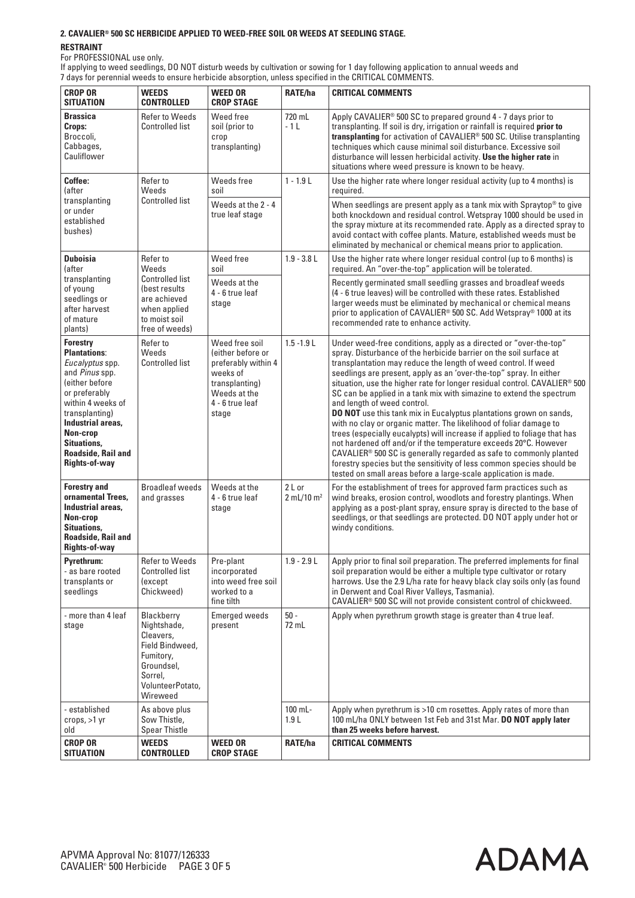#### **2. CAVALIER® 500 SC HERBICIDE APPLIED TO WEED-FREE SOIL OR WEEDS AT SEEDLING STAGE.**

#### **RESTRAINT**

For PROFESSIONAL use only.

If applying to weed seedlings, DO NOT disturb weeds by cultivation or sowing for 1 day following application to annual weeds and 7 days for perennial weeds to ensure herbicide absorption, unless specified in the CRITICAL COMMENTS.

| <b>CROP OR</b><br><b>SITUATION</b>                                                                                                                                                                                                                         | <b>WEEDS</b><br><b>CONTROLLED</b>                                                                                               | <b>WEED OR</b><br><b>CROP STAGE</b>                                                                                                  | RATE/ha                            | <b>CRITICAL COMMENTS</b>                                                                                                                                                                                                                                                                                                                                                                                                                                                                                                                                                                                                                                                                                                                                                                                                                                                                                                                                                                              |
|------------------------------------------------------------------------------------------------------------------------------------------------------------------------------------------------------------------------------------------------------------|---------------------------------------------------------------------------------------------------------------------------------|--------------------------------------------------------------------------------------------------------------------------------------|------------------------------------|-------------------------------------------------------------------------------------------------------------------------------------------------------------------------------------------------------------------------------------------------------------------------------------------------------------------------------------------------------------------------------------------------------------------------------------------------------------------------------------------------------------------------------------------------------------------------------------------------------------------------------------------------------------------------------------------------------------------------------------------------------------------------------------------------------------------------------------------------------------------------------------------------------------------------------------------------------------------------------------------------------|
| <b>Brassica</b><br>Crops:<br>Broccoli,<br>Cabbages,<br>Cauliflower                                                                                                                                                                                         | <b>Refer to Weeds</b><br><b>Controlled list</b>                                                                                 | Weed free<br>soil (prior to<br>crop<br>transplanting)                                                                                | 720 mL<br>$-1L$                    | Apply CAVALIER <sup>®</sup> 500 SC to prepared ground 4 - 7 days prior to<br>transplanting. If soil is dry, irrigation or rainfall is required prior to<br>transplanting for activation of CAVALIER® 500 SC. Utilise transplanting<br>techniques which cause minimal soil disturbance. Excessive soil<br>disturbance will lessen herbicidal activity. Use the higher rate in<br>situations where weed pressure is known to be heavy.                                                                                                                                                                                                                                                                                                                                                                                                                                                                                                                                                                  |
| Coffee:<br>(after                                                                                                                                                                                                                                          | Refer to<br>Weeds                                                                                                               | Weeds free<br>soil                                                                                                                   | $1 - 1.9$ L                        | Use the higher rate where longer residual activity (up to 4 months) is<br>required.                                                                                                                                                                                                                                                                                                                                                                                                                                                                                                                                                                                                                                                                                                                                                                                                                                                                                                                   |
| transplanting<br>or under<br>established<br>bushes)                                                                                                                                                                                                        | <b>Controlled list</b>                                                                                                          | Weeds at the 2 - 4<br>true leaf stage                                                                                                |                                    | When seedlings are present apply as a tank mix with Spraytop <sup>®</sup> to give<br>both knockdown and residual control. Wetspray 1000 should be used in<br>the spray mixture at its recommended rate. Apply as a directed spray to<br>avoid contact with coffee plants. Mature, established weeds must be<br>eliminated by mechanical or chemical means prior to application.                                                                                                                                                                                                                                                                                                                                                                                                                                                                                                                                                                                                                       |
| <b>Duboisia</b><br><i>(after</i>                                                                                                                                                                                                                           | Refer to<br>Weeds                                                                                                               | Weed free<br>soil                                                                                                                    | $1.9 - 3.8$ L                      | Use the higher rate where longer residual control (up to 6 months) is<br>required. An "over-the-top" application will be tolerated.                                                                                                                                                                                                                                                                                                                                                                                                                                                                                                                                                                                                                                                                                                                                                                                                                                                                   |
| transplanting<br>of young<br>seedlings or<br>after harvest<br>of mature<br>plants)                                                                                                                                                                         | <b>Controlled list</b><br>(best results)<br>are achieved<br>when applied<br>to moist soil<br>free of weeds)                     | Weeds at the<br>4 - 6 true leaf<br>stage                                                                                             |                                    | Recently germinated small seedling grasses and broadleaf weeds<br>(4 - 6 true leaves) will be controlled with these rates. Established<br>larger weeds must be eliminated by mechanical or chemical means<br>prior to application of CAVALIER® 500 SC. Add Wetspray® 1000 at its<br>recommended rate to enhance activity.                                                                                                                                                                                                                                                                                                                                                                                                                                                                                                                                                                                                                                                                             |
| <b>Forestry</b><br><b>Plantations:</b><br>Eucalyptus spp.<br>and Pinus spp.<br>(either before<br>or preferably<br>within 4 weeks of<br>transplanting)<br>Industrial areas,<br>Non-crop<br><b>Situations.</b><br>Roadside, Rail and<br><b>Rights-of-way</b> | Refer to<br>Weeds<br><b>Controlled list</b>                                                                                     | Weed free soil<br>(either before or<br>preferably within 4<br>weeks of<br>transplanting)<br>Weeds at the<br>4 - 6 true leaf<br>stage | $1.5 - 1.9$ L                      | Under weed-free conditions, apply as a directed or "over-the-top"<br>spray. Disturbance of the herbicide barrier on the soil surface at<br>transplantation may reduce the length of weed control. If weed<br>seedlings are present, apply as an 'over-the-top" spray. In either<br>situation, use the higher rate for longer residual control. CAVALIER® 500<br>SC can be applied in a tank mix with simazine to extend the spectrum<br>and length of weed control.<br><b>DO NOT</b> use this tank mix in Eucalyptus plantations grown on sands,<br>with no clay or organic matter. The likelihood of foliar damage to<br>trees (especially eucalypts) will increase if applied to foliage that has<br>not hardened off and/or if the temperature exceeds 20°C. However<br>CAVALIER <sup>®</sup> 500 SC is generally regarded as safe to commonly planted<br>forestry species but the sensitivity of less common species should be<br>tested on small areas before a large-scale application is made. |
| <b>Forestry and</b><br>ornamental Trees.<br>Industrial areas,<br>Non-crop<br><b>Situations.</b><br><b>Roadside, Rail and</b><br><b>Rights-of-way</b>                                                                                                       | <b>Broadleaf weeds</b><br>and grasses                                                                                           | Weeds at the<br>4 - 6 true leaf<br>stage                                                                                             | 2 L or<br>$2$ mL/10 m <sup>2</sup> | For the establishment of trees for approved farm practices such as<br>wind breaks, erosion control, woodlots and forestry plantings. When<br>applying as a post-plant spray, ensure spray is directed to the base of<br>seedlings, or that seedlings are protected. DO NOT apply under hot or<br>windy conditions.                                                                                                                                                                                                                                                                                                                                                                                                                                                                                                                                                                                                                                                                                    |
| <b>Pyrethrum:</b><br>- as bare rooted<br>transplants or<br>seedlings                                                                                                                                                                                       | <b>Refer to Weeds</b><br><b>Controlled list</b><br>(except<br>Chickweed)                                                        | Pre-plant<br>incorporated<br>into weed free soil<br>worked to a<br>fine tilth                                                        | $1.9 - 2.9 L$                      | Apply prior to final soil preparation. The preferred implements for final<br>soil preparation would be either a multiple type cultivator or rotary<br>harrows. Use the 2.9 L/ha rate for heavy black clay soils only (as found<br>in Derwent and Coal River Valleys, Tasmania).<br>CAVALIER® 500 SC will not provide consistent control of chickweed.                                                                                                                                                                                                                                                                                                                                                                                                                                                                                                                                                                                                                                                 |
| - more than 4 leaf<br>stage                                                                                                                                                                                                                                | Blackberry<br>Nightshade,<br>Cleavers,<br>Field Bindweed,<br>Fumitory,<br>Groundsel,<br>Sorrel.<br>VolunteerPotato,<br>Wireweed | <b>Emerged weeds</b><br>present                                                                                                      | $50 -$<br>72 mL                    | Apply when pyrethrum growth stage is greater than 4 true leaf.                                                                                                                                                                                                                                                                                                                                                                                                                                                                                                                                                                                                                                                                                                                                                                                                                                                                                                                                        |
| - established<br>crops, $>1$ yr<br>old                                                                                                                                                                                                                     | As above plus<br>Sow Thistle,<br><b>Spear Thistle</b>                                                                           |                                                                                                                                      | 100 mL-<br>1.9L                    | Apply when pyrethrum is >10 cm rosettes. Apply rates of more than<br>100 mL/ha ONLY between 1st Feb and 31st Mar. DO NOT apply later<br>than 25 weeks before harvest.                                                                                                                                                                                                                                                                                                                                                                                                                                                                                                                                                                                                                                                                                                                                                                                                                                 |
| <b>CROP OR</b><br><b>SITUATION</b>                                                                                                                                                                                                                         | <b>WEEDS</b><br><b>CONTROLLED</b>                                                                                               | <b>WEED OR</b><br><b>CROP STAGE</b>                                                                                                  | RATE/ha                            | <b>CRITICAL COMMENTS</b>                                                                                                                                                                                                                                                                                                                                                                                                                                                                                                                                                                                                                                                                                                                                                                                                                                                                                                                                                                              |

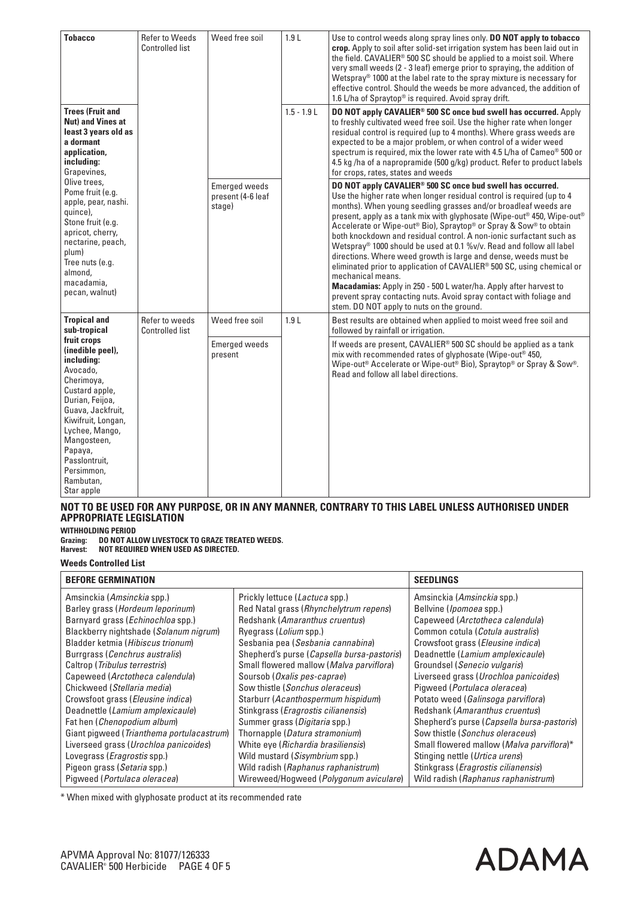| <b>Tobacco</b>                                                                                                                                                                                                                                                | <b>Refer to Weeds</b><br><b>Controlled list</b> | Weed free soil                                      | 1.9L          | Use to control weeds along spray lines only. DO NOT apply to tobacco<br>crop. Apply to soil after solid-set irrigation system has been laid out in<br>the field. CAVALIER <sup>®</sup> 500 SC should be applied to a moist soil. Where<br>very small weeds (2 - 3 leaf) emerge prior to spraying, the addition of<br>Wetspray <sup>®</sup> 1000 at the label rate to the spray mixture is necessary for<br>effective control. Should the weeds be more advanced, the addition of<br>1.6 L/ha of Spraytop® is required. Avoid spray drift.                                                                                                                                                                                                                                                                                                                                               |
|---------------------------------------------------------------------------------------------------------------------------------------------------------------------------------------------------------------------------------------------------------------|-------------------------------------------------|-----------------------------------------------------|---------------|-----------------------------------------------------------------------------------------------------------------------------------------------------------------------------------------------------------------------------------------------------------------------------------------------------------------------------------------------------------------------------------------------------------------------------------------------------------------------------------------------------------------------------------------------------------------------------------------------------------------------------------------------------------------------------------------------------------------------------------------------------------------------------------------------------------------------------------------------------------------------------------------|
| <b>Trees (Fruit and</b><br>Nut) and Vines at<br>least 3 years old as<br>a dormant<br>application.<br>including:<br>Grapevines,                                                                                                                                |                                                 |                                                     | $1.5 - 1.9 L$ | DO NOT apply CAVALIER <sup>®</sup> 500 SC once bud swell has occurred. Apply<br>to freshly cultivated weed free soil. Use the higher rate when longer<br>residual control is required (up to 4 months). Where grass weeds are<br>expected to be a major problem, or when control of a wider weed<br>spectrum is required, mix the lower rate with 4.5 L/ha of Cameo <sup>®</sup> 500 or<br>4.5 kg /ha of a napropramide (500 g/kg) product. Refer to product labels<br>for crops, rates, states and weeds                                                                                                                                                                                                                                                                                                                                                                               |
| Olive trees.<br>Pome fruit (e.g.<br>apple, pear, nashi.<br>quince),<br>Stone fruit (e.g.<br>apricot, cherry,<br>nectarine, peach,<br>plum)<br>Tree nuts (e.g.<br>almond,<br>macadamia.<br>pecan, walnut)                                                      |                                                 | <b>Emerged weeds</b><br>present (4-6 leaf<br>stage) |               | DO NOT apply CAVALIER <sup>®</sup> 500 SC once bud swell has occurred.<br>Use the higher rate when longer residual control is required (up to 4<br>months). When young seedling grasses and/or broadleaf weeds are<br>present, apply as a tank mix with glyphosate (Wipe-out® 450, Wipe-out®<br>Accelerate or Wipe-out® Bio), Spraytop® or Spray & Sow® to obtain<br>both knockdown and residual control. A non-ionic surfactant such as<br>Wetspray <sup>®</sup> 1000 should be used at 0.1 %v/v. Read and follow all label<br>directions. Where weed growth is large and dense, weeds must be<br>eliminated prior to application of CAVALIER® 500 SC, using chemical or<br>mechanical means.<br>Macadamias: Apply in 250 - 500 L water/ha. Apply after harvest to<br>prevent spray contacting nuts. Avoid spray contact with foliage and<br>stem. DO NOT apply to nuts on the ground. |
| <b>Tropical and</b><br>sub-tropical                                                                                                                                                                                                                           | Refer to weeds<br>Controlled list               | Weed free soil                                      | 1.9L          | Best results are obtained when applied to moist weed free soil and<br>followed by rainfall or irrigation.                                                                                                                                                                                                                                                                                                                                                                                                                                                                                                                                                                                                                                                                                                                                                                               |
| fruit crops<br>(inedible peel),<br>including:<br>Avocado,<br>Cherimoya,<br>Custard apple,<br>Durian, Feijoa,<br>Guava, Jackfruit,<br>Kiwifruit, Longan,<br>Lychee, Mango,<br>Mangosteen,<br>Papaya,<br>Passlontruit,<br>Persimmon,<br>Rambutan,<br>Star apple |                                                 | <b>Emerged weeds</b><br>present                     |               | If weeds are present, CAVALIER® 500 SC should be applied as a tank<br>mix with recommended rates of glyphosate (Wipe-out® 450,<br>Wipe-out <sup>®</sup> Accelerate or Wipe-out® Bio), Spraytop® or Spray & Sow®.<br>Read and follow all label directions.                                                                                                                                                                                                                                                                                                                                                                                                                                                                                                                                                                                                                               |

#### **NOT TO BE USED FOR ANY PURPOSE, OR IN ANY MANNER, CONTRARY TO THIS LABEL UNLESS AUTHORISED UNDER APPROPRIATE LEGISLATION**

**WITHHOLDING PERIOD**

**Grazing: DO NOT ALLOW LIVESTOCK TO GRAZE TREATED WEEDS.**

**Harvest: NOT REQUIRED WHEN USED AS DIRECTED.**

**Weeds Controlled List**

| <b>BEFORE GERMINATION</b>                 | <b>SEEDLINGS</b>                             |                                              |
|-------------------------------------------|----------------------------------------------|----------------------------------------------|
| Amsinckia ( <i>Amsinckia</i> spp.)        | Prickly lettuce (Lactuca spp.)               | Amsinckia ( <i>Amsinckia</i> spp.)           |
| Barley grass (Hordeum leporinum)          | Red Natal grass (Rhynchelytrum repens)       | Bellvine ( <i>Ipomoea</i> spp.)              |
| Barnyard grass (Echinochloa spp.)         | Redshank (Amaranthus cruentus)               | Capeweed (Arctotheca calendula)              |
| Blackberry nightshade (Solanum nigrum)    | Ryegrass ( <i>Lolium</i> spp.)               | Common cotula (Cotula australis)             |
| Bladder ketmia (Hibiscus trionum)         | Sesbania pea (Sesbania cannabina)            | Crowsfoot grass (Eleusine indica)            |
| Burrgrass (Cenchrus australis)            | Shepherd's purse (Capsella bursa-pastoris)   | Deadnettle (Lamium amplexicaule)             |
| Caltrop (Tribulus terrestris)             | Small flowered mallow (Malva parviflora)     | Groundsel (Senecio vulgaris)                 |
| Capeweed (Arctotheca calendula)           | Soursob ( <i>Oxalis pes-caprae</i> )         | Liverseed grass (Urochloa panicoides)        |
| Chickweed (Stellaria media)               | Sow thistle (Sonchus oleraceus)              | Pigweed (Portulaca oleracea)                 |
| Crowsfoot grass (Eleusine indica)         | Starburr (Acanthospermum hispidum)           | Potato weed (Galinsoga parviflora)           |
| Deadnettle (Lamium amplexicaule)          | Stinkgrass ( <i>Eragrostis cilianensis</i> ) | Redshank (Amaranthus cruentus)               |
| Fat hen (Chenopodium album)               | Summer grass (Digitaria spp.)                | Shepherd's purse (Capsella bursa-pastoris)   |
| Giant pigweed (Trianthema portulacastrum) | Thornapple (Datura stramonium)               | Sow thistle (Sonchus oleraceus)              |
| Liverseed grass (Urochloa panicoides)     | White eye (Richardia brasiliensis)           | Small flowered mallow (Malva parviflora)*    |
| Lovegrass ( <i>Eragrostis</i> spp.)       | Wild mustard (Sisymbrium spp.)               | Stinging nettle (Urtica urens)               |
| Pigeon grass (Setaria spp.)               | Wild radish (Raphanus raphanistrum)          | Stinkgrass ( <i>Eragrostis cilianensis</i> ) |
| Pigweed ( <i>Portulaca oleracea</i> )     | Wireweed/Hogweed (Polygonum aviculare)       | Wild radish (Raphanus raphanistrum)          |

\* When mixed with glyphosate product at its recommended rate

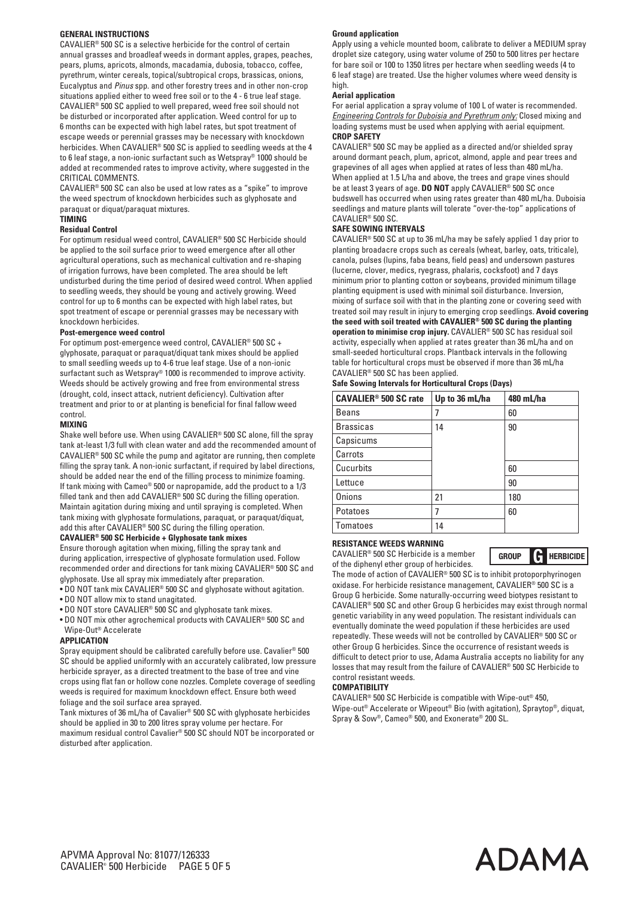#### **GENERAL INSTRUCTIONS**

CAVALIER® 500 SC is a selective herbicide for the control of certain annual grasses and broadleaf weeds in dormant apples, grapes, peaches, pears, plums, apricots, almonds, macadamia, dubosia, tobacco, coffee, pyrethrum, winter cereals, topical/subtropical crops, brassicas, onions, Eucalyptus and *Pinus* spp. and other forestry trees and in other non-crop situations applied either to weed free soil or to the 4 - 6 true leaf stage. CAVALIER® 500 SC applied to well prepared, weed free soil should not be disturbed or incorporated after application. Weed control for up to 6 months can be expected with high label rates, but spot treatment of escape weeds or perennial grasses may be necessary with knockdown herbicides. When CAVALIER® 500 SC is applied to seedling weeds at the 4 to 6 leaf stage, a non-ionic surfactant such as Wetspray® 1000 should be added at recommended rates to improve activity, where suggested in the CRITICAL COMMENTS.

CAVALIER® 500 SC can also be used at low rates as a "spike" to improve the weed spectrum of knockdown herbicides such as glyphosate and paraquat or diquat/paraquat mixtures.

#### **TIMING**

#### **Residual Control**

For optimum residual weed control, CAVALIER® 500 SC Herbicide should be applied to the soil surface prior to weed emergence after all other agricultural operations, such as mechanical cultivation and re-shaping of irrigation furrows, have been completed. The area should be left undisturbed during the time period of desired weed control. When applied to seedling weeds, they should be young and actively growing. Weed control for up to 6 months can be expected with high label rates, but spot treatment of escape or perennial grasses may be necessary with knockdown herbicides.

#### **Post-emergence weed control**

For optimum post-emergence weed control, CAVALIER® 500 SC + glyphosate, paraquat or paraquat/diquat tank mixes should be applied to small seedling weeds up to 4-6 true leaf stage. Use of a non-ionic surfactant such as Wetspray® 1000 is recommended to improve activity. Weeds should be actively growing and free from environmental stress (drought, cold, insect attack, nutrient deficiency). Cultivation after treatment and prior to or at planting is beneficial for final fallow weed control.

#### **MIXING**

Shake well before use. When using CAVALIER® 500 SC alone, fill the spray tank at-least 1/3 full with clean water and add the recommended amount of CAVALIER® 500 SC while the pump and agitator are running, then complete filling the spray tank. A non-ionic surfactant, if required by label directions, should be added near the end of the filling process to minimize foaming. If tank mixing with Cameo® 500 or napropamide, add the product to a 1/3 filled tank and then add CAVALIER® 500 SC during the filling operation. Maintain agitation during mixing and until spraying is completed. When tank mixing with glyphosate formulations, paraquat, or paraquat/diquat, add this after CAVALIER® 500 SC during the filling operation.

#### **CAVALIER® 500 SC Herbicide + Glyphosate tank mixes**

Ensure thorough agitation when mixing, filling the spray tank and during application, irrespective of glyphosate formulation used. Follow recommended order and directions for tank mixing CAVALIER® 500 SC and glyphosate. Use all spray mix immediately after preparation.

- DO NOT tank mix CAVALIER® 500 SC and glyphosate without agitation.
- DO NOT allow mix to stand unagitated.
- DO NOT store CAVALIER® 500 SC and glyphosate tank mixes.
- DO NOT mix other agrochemical products with CAVALIER® 500 SC and Wipe-Out® Accelerate

#### **APPLICATION**

Spray equipment should be calibrated carefully before use. Cavalier® 500 SC should be applied uniformly with an accurately calibrated, low pressure herbicide sprayer, as a directed treatment to the base of tree and vine crops using flat fan or hollow cone nozzles. Complete coverage of seedling weeds is required for maximum knockdown effect. Ensure both weed foliage and the soil surface area sprayed.

Tank mixtures of 36 mL/ha of Cavalier® 500 SC with glyphosate herbicides should be applied in 30 to 200 litres spray volume per hectare. For maximum residual control Cavalier® 500 SC should NOT be incorporated or disturbed after application.

#### **Ground application**

Apply using a vehicle mounted boom, calibrate to deliver a MEDIUM spray droplet size category, using water volume of 250 to 500 litres per hectare for bare soil or 100 to 1350 litres per hectare when seedling weeds (4 to 6 leaf stage) are treated. Use the higher volumes where weed density is high.

#### **Aerial application**

For aerial application a spray volume of 100 L of water is recommended. *Engineering Controls for Duboisia and Pyrethrum only:* Closed mixing and loading systems must be used when applying with aerial equipment. **CROP SAFETY**

CAVALIER® 500 SC may be applied as a directed and/or shielded spray around dormant peach, plum, apricot, almond, apple and pear trees and grapevines of all ages when applied at rates of less than 480 mL/ha. When applied at 1.5 L/ha and above, the trees and grape vines should be at least 3 years of age. **DO NOT** apply CAVALIER® 500 SC once budswell has occurred when using rates greater than 480 mL/ha. Duboisia seedlings and mature plants will tolerate "over-the-top" applications of CAVALIER® 500 SC.

#### **SAFE SOWING INTERVALS**

CAVALIER® 500 SC at up to 36 mL/ha may be safely applied 1 day prior to planting broadacre crops such as cereals (wheat, barley, oats, triticale), canola, pulses (lupins, faba beans, field peas) and undersown pastures (lucerne, clover, medics, ryegrass, phalaris, cocksfoot) and 7 days minimum prior to planting cotton or soybeans, provided minimum tillage planting equipment is used with minimal soil disturbance. Inversion, mixing of surface soil with that in the planting zone or covering seed with treated soil may result in injury to emerging crop seedlings. **Avoid covering the seed with soil treated with CAVALIER® 500 SC during the planting operation to minimise crop injury.** CAVALIER® 500 SC has residual soil activity, especially when applied at rates greater than 36 mL/ha and on small-seeded horticultural crops. Plantback intervals in the following table for horticultural crops must be observed if more than 36 mL/ha CAVALIER® 500 SC has been applied.

|  |  |  |  |  | <b>Safe Sowing Intervals for Horticultural Crops (Days)</b> |  |  |  |
|--|--|--|--|--|-------------------------------------------------------------|--|--|--|
|--|--|--|--|--|-------------------------------------------------------------|--|--|--|

| <b>CAVALIER<sup>®</sup> 500 SC rate</b> | Up to 36 mL/ha | 480 mL/ha |
|-----------------------------------------|----------------|-----------|
| Beans                                   |                | 60        |
| <b>Brassicas</b>                        | 14             | 90        |
| Capsicums                               |                |           |
| Carrots                                 |                |           |
| Cucurbits                               |                | 60        |
| Lettuce                                 |                | 90        |
| <b>Onions</b>                           | 21             | 180       |
| Potatoes                                |                | 60        |
| l Tomatoes                              | 14             |           |

#### **RESISTANCE WEEDS WARNING**

CAVALIER® 500 SC Herbicide is a member of the diphenyl ether group of herbicides.

**GROUP G HERBICIDE**

The mode of action of CAVALIER® 500 SC is to inhibit protoporphyrinogen oxidase. For herbicide resistance management, CAVALIER® 500 SC is a Group G herbicide. Some naturally-occurring weed biotypes resistant to CAVALIER® 500 SC and other Group G herbicides may exist through normal genetic variability in any weed population. The resistant individuals can eventually dominate the weed population if these herbicides are used repeatedly. These weeds will not be controlled by CAVALIER® 500 SC or other Group G herbicides. Since the occurrence of resistant weeds is difficult to detect prior to use, Adama Australia accepts no liability for any losses that may result from the failure of CAVALIER® 500 SC Herbicide to control resistant weeds.

#### **COMPATIBILITY**

CAVALIER® 500 SC Herbicide is compatible with Wipe-out® 450, Wipe-out® Accelerate or Wipeout® Bio (with agitation), Spraytop®, diquat, Spray & Sow®, Cameo® 500, and Exonerate® 200 SL.